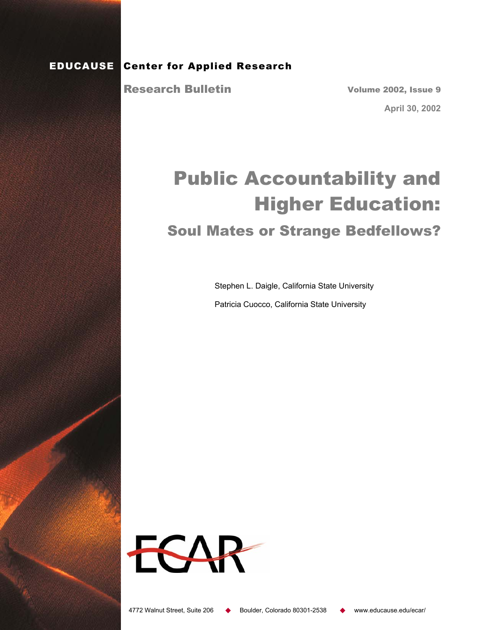### EDUCAUSE Center for Applied Research

Research Bulletin

Volume 2002, Issue 9

**April 30, 2002** 

# Public Accountability and Higher Education: Soul Mates or Strange Bedfellows?

Stephen L. Daigle, California State University

Patricia Cuocco, California State University

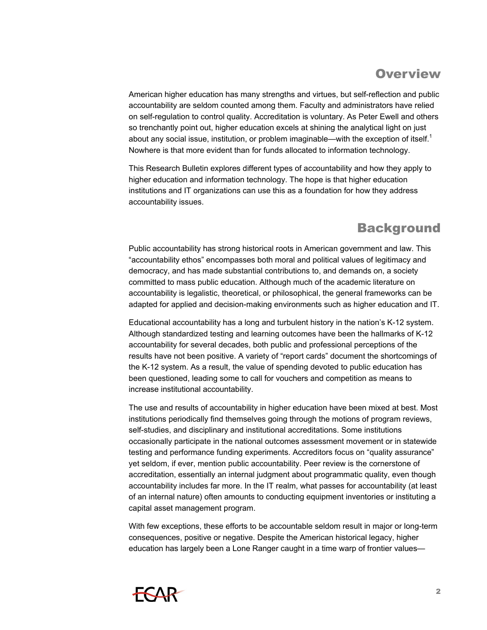# **Overview**

American higher education has many strengths and virtues, but self-reflection and public accountability are seldom counted among them. Faculty and administrators have relied on self-regulation to control quality. Accreditation is voluntary. As Peter Ewell and others so trenchantly point out, higher education excels at shining the analytical light on just about any social issue, institution, or problem imaginable—with the exception of itself. $1$ Nowhere is that more evident than for funds allocated to information technology.

This Research Bulletin explores different types of accountability and how they apply to higher education and information technology. The hope is that higher education institutions and IT organizations can use this as a foundation for how they address accountability issues.

### **Background**

Public accountability has strong historical roots in American government and law. This "accountability ethos" encompasses both moral and political values of legitimacy and democracy, and has made substantial contributions to, and demands on, a society committed to mass public education. Although much of the academic literature on accountability is legalistic, theoretical, or philosophical, the general frameworks can be adapted for applied and decision-making environments such as higher education and IT.

Educational accountability has a long and turbulent history in the nation's K-12 system. Although standardized testing and learning outcomes have been the hallmarks of K-12 accountability for several decades, both public and professional perceptions of the results have not been positive. A variety of "report cards" document the shortcomings of the K-12 system. As a result, the value of spending devoted to public education has been questioned, leading some to call for vouchers and competition as means to increase institutional accountability.

The use and results of accountability in higher education have been mixed at best. Most institutions periodically find themselves going through the motions of program reviews, self-studies, and disciplinary and institutional accreditations. Some institutions occasionally participate in the national outcomes assessment movement or in statewide testing and performance funding experiments. Accreditors focus on "quality assurance" yet seldom, if ever, mention public accountability. Peer review is the cornerstone of accreditation, essentially an internal judgment about programmatic quality, even though accountability includes far more. In the IT realm, what passes for accountability (at least of an internal nature) often amounts to conducting equipment inventories or instituting a capital asset management program.

With few exceptions, these efforts to be accountable seldom result in major or long-term consequences, positive or negative. Despite the American historical legacy, higher education has largely been a Lone Ranger caught in a time warp of frontier values—

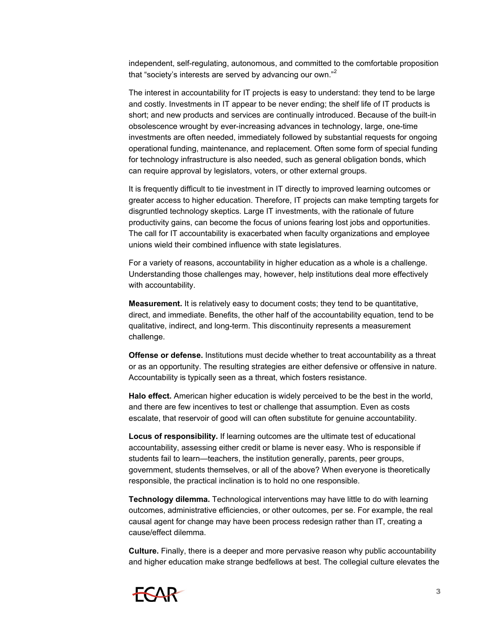independent, self-regulating, autonomous, and committed to the comfortable proposition that "society's interests are served by advancing our own."<sup>2</sup>

The interest in accountability for IT projects is easy to understand: they tend to be large and costly. Investments in IT appear to be never ending; the shelf life of IT products is short; and new products and services are continually introduced. Because of the built-in obsolescence wrought by ever-increasing advances in technology, large, one-time investments are often needed, immediately followed by substantial requests for ongoing operational funding, maintenance, and replacement. Often some form of special funding for technology infrastructure is also needed, such as general obligation bonds, which can require approval by legislators, voters, or other external groups.

It is frequently difficult to tie investment in IT directly to improved learning outcomes or greater access to higher education. Therefore, IT projects can make tempting targets for disgruntled technology skeptics. Large IT investments, with the rationale of future productivity gains, can become the focus of unions fearing lost jobs and opportunities. The call for IT accountability is exacerbated when faculty organizations and employee unions wield their combined influence with state legislatures.

For a variety of reasons, accountability in higher education as a whole is a challenge. Understanding those challenges may, however, help institutions deal more effectively with accountability.

**Measurement.** It is relatively easy to document costs; they tend to be quantitative, direct, and immediate. Benefits, the other half of the accountability equation, tend to be qualitative, indirect, and long-term. This discontinuity represents a measurement challenge.

**Offense or defense.** Institutions must decide whether to treat accountability as a threat or as an opportunity. The resulting strategies are either defensive or offensive in nature. Accountability is typically seen as a threat, which fosters resistance.

**Halo effect.** American higher education is widely perceived to be the best in the world, and there are few incentives to test or challenge that assumption. Even as costs escalate, that reservoir of good will can often substitute for genuine accountability.

**Locus of responsibility.** If learning outcomes are the ultimate test of educational accountability, assessing either credit or blame is never easy. Who is responsible if students fail to learn—teachers, the institution generally, parents, peer groups, government, students themselves, or all of the above? When everyone is theoretically responsible, the practical inclination is to hold no one responsible.

**Technology dilemma.** Technological interventions may have little to do with learning outcomes, administrative efficiencies, or other outcomes, per se. For example, the real causal agent for change may have been process redesign rather than IT, creating a cause/effect dilemma.

**Culture.** Finally, there is a deeper and more pervasive reason why public accountability and higher education make strange bedfellows at best. The collegial culture elevates the

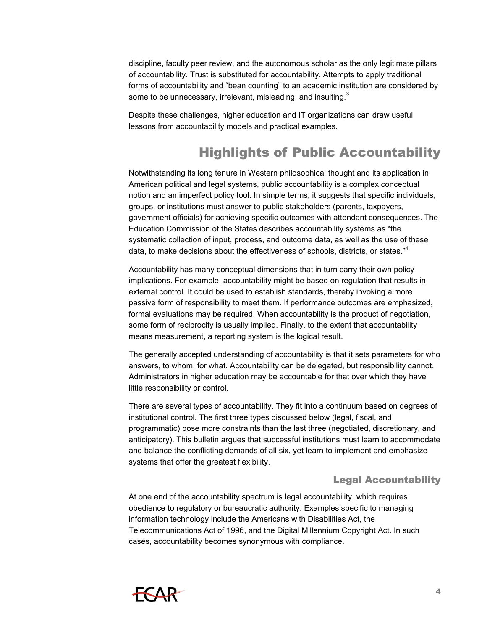discipline, faculty peer review, and the autonomous scholar as the only legitimate pillars of accountability. Trust is substituted for accountability. Attempts to apply traditional forms of accountability and "bean counting" to an academic institution are considered by some to be unnecessary, irrelevant, misleading, and insulting.<sup>3</sup>

Despite these challenges, higher education and IT organizations can draw useful lessons from accountability models and practical examples.

## Highlights of Public Accountability

Notwithstanding its long tenure in Western philosophical thought and its application in American political and legal systems, public accountability is a complex conceptual notion and an imperfect policy tool. In simple terms, it suggests that specific individuals, groups, or institutions must answer to public stakeholders (parents, taxpayers, government officials) for achieving specific outcomes with attendant consequences. The Education Commission of the States describes accountability systems as "the systematic collection of input, process, and outcome data, as well as the use of these data, to make decisions about the effectiveness of schools, districts, or states."<sup>4</sup>

Accountability has many conceptual dimensions that in turn carry their own policy implications. For example, accountability might be based on regulation that results in external control. It could be used to establish standards, thereby invoking a more passive form of responsibility to meet them. If performance outcomes are emphasized, formal evaluations may be required. When accountability is the product of negotiation, some form of reciprocity is usually implied. Finally, to the extent that accountability means measurement, a reporting system is the logical result.

The generally accepted understanding of accountability is that it sets parameters for who answers, to whom, for what. Accountability can be delegated, but responsibility cannot. Administrators in higher education may be accountable for that over which they have little responsibility or control.

There are several types of accountability. They fit into a continuum based on degrees of institutional control. The first three types discussed below (legal, fiscal, and programmatic) pose more constraints than the last three (negotiated, discretionary, and anticipatory). This bulletin argues that successful institutions must learn to accommodate and balance the conflicting demands of all six, yet learn to implement and emphasize systems that offer the greatest flexibility.

#### Legal Accountability

At one end of the accountability spectrum is legal accountability, which requires obedience to regulatory or bureaucratic authority. Examples specific to managing information technology include the Americans with Disabilities Act, the Telecommunications Act of 1996, and the Digital Millennium Copyright Act. In such cases, accountability becomes synonymous with compliance.

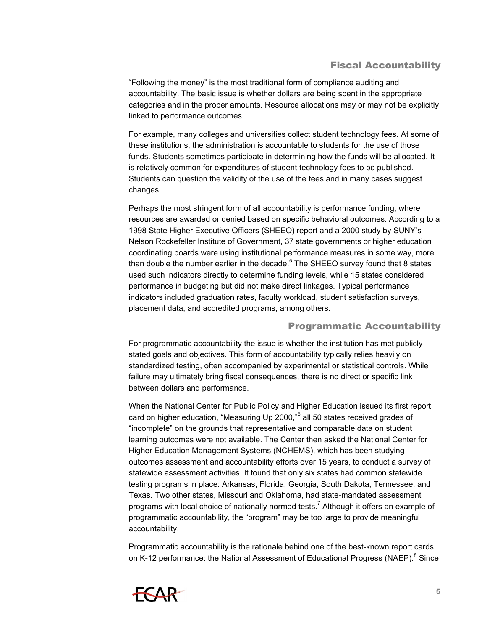#### Fiscal Accountability

"Following the money" is the most traditional form of compliance auditing and accountability. The basic issue is whether dollars are being spent in the appropriate categories and in the proper amounts. Resource allocations may or may not be explicitly linked to performance outcomes.

For example, many colleges and universities collect student technology fees. At some of these institutions, the administration is accountable to students for the use of those funds. Students sometimes participate in determining how the funds will be allocated. It is relatively common for expenditures of student technology fees to be published. Students can question the validity of the use of the fees and in many cases suggest changes.

Perhaps the most stringent form of all accountability is performance funding, where resources are awarded or denied based on specific behavioral outcomes. According to a 1998 State Higher Executive Officers (SHEEO) report and a 2000 study by SUNY's Nelson Rockefeller Institute of Government, 37 state governments or higher education coordinating boards were using institutional performance measures in some way, more than double the number earlier in the decade.<sup>5</sup> The SHEEO survey found that 8 states used such indicators directly to determine funding levels, while 15 states considered performance in budgeting but did not make direct linkages. Typical performance indicators included graduation rates, faculty workload, student satisfaction surveys, placement data, and accredited programs, among others.

#### Programmatic Accountability

For programmatic accountability the issue is whether the institution has met publicly stated goals and objectives. This form of accountability typically relies heavily on standardized testing, often accompanied by experimental or statistical controls. While failure may ultimately bring fiscal consequences, there is no direct or specific link between dollars and performance.

When the National Center for Public Policy and Higher Education issued its first report card on higher education, "Measuring Up 2000,"<sup>6</sup> all 50 states received grades of "incomplete" on the grounds that representative and comparable data on student learning outcomes were not available. The Center then asked the National Center for Higher Education Management Systems (NCHEMS), which has been studying outcomes assessment and accountability efforts over 15 years, to conduct a survey of statewide assessment activities. It found that only six states had common statewide testing programs in place: Arkansas, Florida, Georgia, South Dakota, Tennessee, and Texas. Two other states, Missouri and Oklahoma, had state-mandated assessment programs with local choice of nationally normed tests.<sup>7</sup> Although it offers an example of programmatic accountability, the "program" may be too large to provide meaningful accountability.

Programmatic accountability is the rationale behind one of the best-known report cards on K-12 performance: the National Assessment of Educational Progress (NAEP).<sup>8</sup> Since

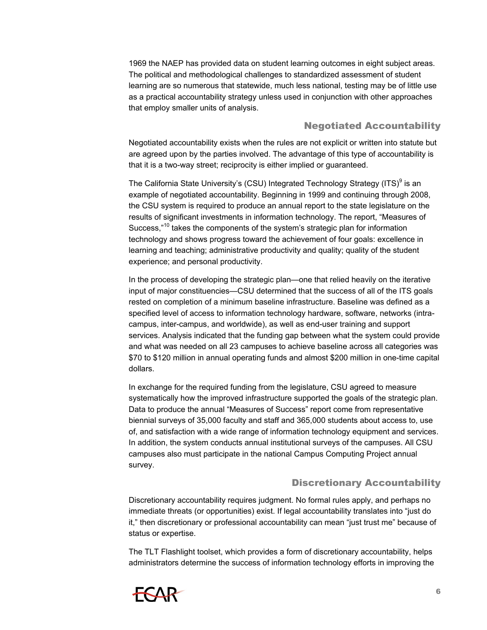1969 the NAEP has provided data on student learning outcomes in eight subject areas. The political and methodological challenges to standardized assessment of student learning are so numerous that statewide, much less national, testing may be of little use as a practical accountability strategy unless used in conjunction with other approaches that employ smaller units of analysis.

#### Negotiated Accountability

Negotiated accountability exists when the rules are not explicit or written into statute but are agreed upon by the parties involved. The advantage of this type of accountability is that it is a two-way street; reciprocity is either implied or guaranteed.

The California State University's (CSU) Integrated Technology Strategy (ITS)<sup>9</sup> is an example of negotiated accountability. Beginning in 1999 and continuing through 2008, the CSU system is required to produce an annual report to the state legislature on the results of significant investments in information technology. The report, "Measures of Success,"<sup>10</sup> takes the components of the system's strategic plan for information technology and shows progress toward the achievement of four goals: excellence in learning and teaching; administrative productivity and quality; quality of the student experience; and personal productivity.

In the process of developing the strategic plan—one that relied heavily on the iterative input of major constituencies—CSU determined that the success of all of the ITS goals rested on completion of a minimum baseline infrastructure. Baseline was defined as a specified level of access to information technology hardware, software, networks (intracampus, inter-campus, and worldwide), as well as end-user training and support services. Analysis indicated that the funding gap between what the system could provide and what was needed on all 23 campuses to achieve baseline across all categories was \$70 to \$120 million in annual operating funds and almost \$200 million in one-time capital dollars.

In exchange for the required funding from the legislature, CSU agreed to measure systematically how the improved infrastructure supported the goals of the strategic plan. Data to produce the annual "Measures of Success" report come from representative biennial surveys of 35,000 faculty and staff and 365,000 students about access to, use of, and satisfaction with a wide range of information technology equipment and services. In addition, the system conducts annual institutional surveys of the campuses. All CSU campuses also must participate in the national Campus Computing Project annual survey.

#### Discretionary Accountability

Discretionary accountability requires judgment. No formal rules apply, and perhaps no immediate threats (or opportunities) exist. If legal accountability translates into "just do it," then discretionary or professional accountability can mean "just trust me" because of status or expertise.

The TLT Flashlight toolset, which provides a form of discretionary accountability, helps administrators determine the success of information technology efforts in improving the

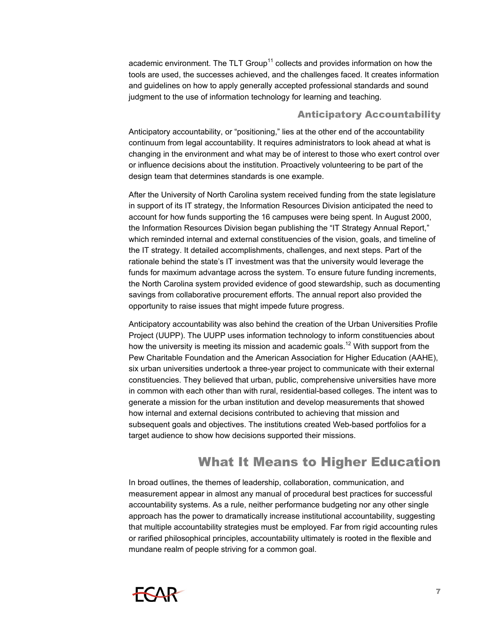academic environment. The TLT Group<sup>11</sup> collects and provides information on how the tools are used, the successes achieved, and the challenges faced. It creates information and guidelines on how to apply generally accepted professional standards and sound judgment to the use of information technology for learning and teaching.

#### Anticipatory Accountability

Anticipatory accountability, or "positioning," lies at the other end of the accountability continuum from legal accountability. It requires administrators to look ahead at what is changing in the environment and what may be of interest to those who exert control over or influence decisions about the institution. Proactively volunteering to be part of the design team that determines standards is one example.

After the University of North Carolina system received funding from the state legislature in support of its IT strategy, the Information Resources Division anticipated the need to account for how funds supporting the 16 campuses were being spent. In August 2000, the Information Resources Division began publishing the "IT Strategy Annual Report," which reminded internal and external constituencies of the vision, goals, and timeline of the IT strategy. It detailed accomplishments, challenges, and next steps. Part of the rationale behind the state's IT investment was that the university would leverage the funds for maximum advantage across the system. To ensure future funding increments, the North Carolina system provided evidence of good stewardship, such as documenting savings from collaborative procurement efforts. The annual report also provided the opportunity to raise issues that might impede future progress.

Anticipatory accountability was also behind the creation of the Urban Universities Profile Project (UUPP). The UUPP uses information technology to inform constituencies about how the university is meeting its mission and academic goals.<sup>12</sup> With support from the Pew Charitable Foundation and the American Association for Higher Education (AAHE), six urban universities undertook a three-year project to communicate with their external constituencies. They believed that urban, public, comprehensive universities have more in common with each other than with rural, residential-based colleges. The intent was to generate a mission for the urban institution and develop measurements that showed how internal and external decisions contributed to achieving that mission and subsequent goals and objectives. The institutions created Web-based portfolios for a target audience to show how decisions supported their missions.

### What It Means to Higher Education

In broad outlines, the themes of leadership, collaboration, communication, and measurement appear in almost any manual of procedural best practices for successful accountability systems. As a rule, neither performance budgeting nor any other single approach has the power to dramatically increase institutional accountability, suggesting that multiple accountability strategies must be employed. Far from rigid accounting rules or rarified philosophical principles, accountability ultimately is rooted in the flexible and mundane realm of people striving for a common goal.

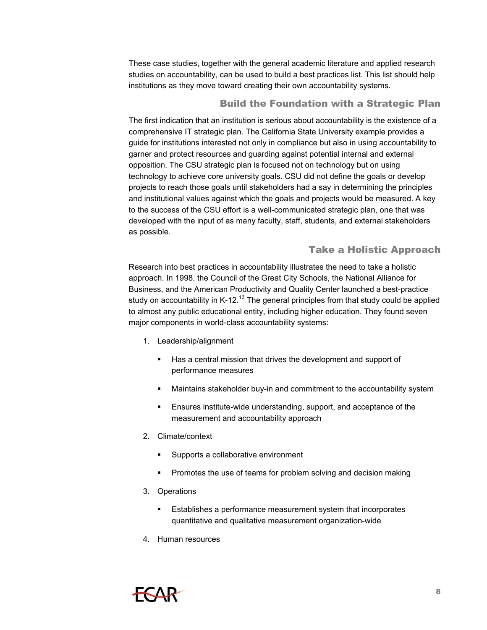These case studies, together with the general academic literature and applied research studies on accountability, can be used to build a best practices list. This list should help institutions as they move toward creating their own accountability systems.

#### Build the Foundation with a Strategic Plan

The first indication that an institution is serious about accountability is the existence of a comprehensive IT strategic plan. The California State University example provides a guide for institutions interested not only in compliance but also in using accountability to garner and protect resources and guarding against potential internal and external opposition. The CSU strategic plan is focused not on technology but on using technology to achieve core university goals. CSU did not define the goals or develop projects to reach those goals until stakeholders had a say in determining the principles and institutional values against which the goals and projects would be measured. A key to the success of the CSU effort is a well-communicated strategic plan, one that was developed with the input of as many faculty, staff, students, and external stakeholders as possible.

#### Take a Holistic Approach

Research into best practices in accountability illustrates the need to take a holistic approach. In 1998, the Council of the Great City Schools, the National Alliance for Business, and the American Productivity and Quality Center launched a best-practice study on accountability in K-12.<sup>13</sup> The general principles from that study could be applied to almost any public educational entity, including higher education. They found seven major components in world-class accountability systems:

- 1. Leadership/alignment
	- Has a central mission that drives the development and support of performance measures
	- Maintains stakeholder buy-in and commitment to the accountability system
	- **Ensures institute-wide understanding, support, and acceptance of the** measurement and accountability approach
- 2. Climate/context
	- **Supports a collaborative environment**
	- **Promotes the use of teams for problem solving and decision making**
- 3. Operations
	- Establishes a performance measurement system that incorporates quantitative and qualitative measurement organization-wide
- 4. Human resources

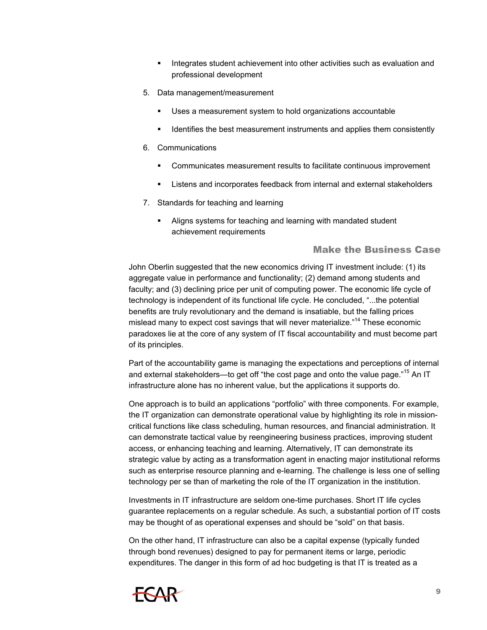- **Integrates student achievement into other activities such as evaluation and** professional development
- 5. Data management/measurement
	- Uses a measurement system to hold organizations accountable
	- If Identifies the best measurement instruments and applies them consistently
- 6. Communications
	- Communicates measurement results to facilitate continuous improvement
	- Listens and incorporates feedback from internal and external stakeholders
- 7. Standards for teaching and learning
	- **Aligns systems for teaching and learning with mandated student** achievement requirements

#### Make the Business Case

John Oberlin suggested that the new economics driving IT investment include: (1) its aggregate value in performance and functionality; (2) demand among students and faculty; and (3) declining price per unit of computing power. The economic life cycle of technology is independent of its functional life cycle. He concluded, "...the potential benefits are truly revolutionary and the demand is insatiable, but the falling prices mislead many to expect cost savings that will never materialize.<sup>"14</sup> These economic paradoxes lie at the core of any system of IT fiscal accountability and must become part of its principles.

Part of the accountability game is managing the expectations and perceptions of internal and external stakeholders—to get off "the cost page and onto the value page."15 An IT infrastructure alone has no inherent value, but the applications it supports do.

One approach is to build an applications "portfolio" with three components. For example, the IT organization can demonstrate operational value by highlighting its role in missioncritical functions like class scheduling, human resources, and financial administration. It can demonstrate tactical value by reengineering business practices, improving student access, or enhancing teaching and learning. Alternatively, IT can demonstrate its strategic value by acting as a transformation agent in enacting major institutional reforms such as enterprise resource planning and e-learning. The challenge is less one of selling technology per se than of marketing the role of the IT organization in the institution.

Investments in IT infrastructure are seldom one-time purchases. Short IT life cycles guarantee replacements on a regular schedule. As such, a substantial portion of IT costs may be thought of as operational expenses and should be "sold" on that basis.

On the other hand, IT infrastructure can also be a capital expense (typically funded through bond revenues) designed to pay for permanent items or large, periodic expenditures. The danger in this form of ad hoc budgeting is that IT is treated as a

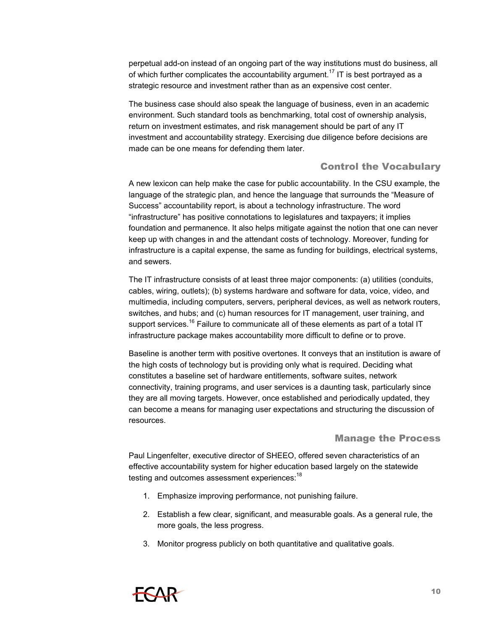perpetual add-on instead of an ongoing part of the way institutions must do business, all of which further complicates the accountability argument.<sup>17</sup> IT is best portrayed as a strategic resource and investment rather than as an expensive cost center.

The business case should also speak the language of business, even in an academic environment. Such standard tools as benchmarking, total cost of ownership analysis, return on investment estimates, and risk management should be part of any IT investment and accountability strategy. Exercising due diligence before decisions are made can be one means for defending them later.

#### Control the Vocabulary

A new lexicon can help make the case for public accountability. In the CSU example, the language of the strategic plan, and hence the language that surrounds the "Measure of Success" accountability report, is about a technology infrastructure. The word "infrastructure" has positive connotations to legislatures and taxpayers; it implies foundation and permanence. It also helps mitigate against the notion that one can never keep up with changes in and the attendant costs of technology. Moreover, funding for infrastructure is a capital expense, the same as funding for buildings, electrical systems, and sewers.

The IT infrastructure consists of at least three major components: (a) utilities (conduits, cables, wiring, outlets); (b) systems hardware and software for data, voice, video, and multimedia, including computers, servers, peripheral devices, as well as network routers, switches, and hubs; and (c) human resources for IT management, user training, and support services.<sup>16</sup> Failure to communicate all of these elements as part of a total IT infrastructure package makes accountability more difficult to define or to prove.

Baseline is another term with positive overtones. It conveys that an institution is aware of the high costs of technology but is providing only what is required. Deciding what constitutes a baseline set of hardware entitlements, software suites, network connectivity, training programs, and user services is a daunting task, particularly since they are all moving targets. However, once established and periodically updated, they can become a means for managing user expectations and structuring the discussion of resources.

#### Manage the Process

Paul Lingenfelter, executive director of SHEEO, offered seven characteristics of an effective accountability system for higher education based largely on the statewide testing and outcomes assessment experiences:<sup>18</sup>

- 1. Emphasize improving performance, not punishing failure.
- 2. Establish a few clear, significant, and measurable goals. As a general rule, the more goals, the less progress.
- 3. Monitor progress publicly on both quantitative and qualitative goals.

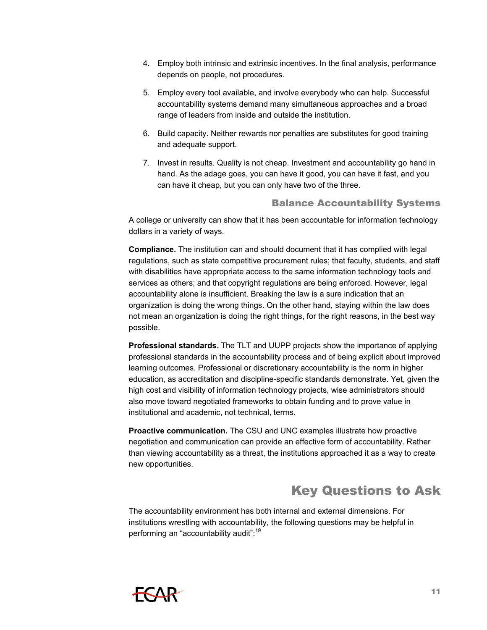- 4. Employ both intrinsic and extrinsic incentives. In the final analysis, performance depends on people, not procedures.
- 5. Employ every tool available, and involve everybody who can help. Successful accountability systems demand many simultaneous approaches and a broad range of leaders from inside and outside the institution.
- 6. Build capacity. Neither rewards nor penalties are substitutes for good training and adequate support.
- 7. Invest in results. Quality is not cheap. Investment and accountability go hand in hand. As the adage goes, you can have it good, you can have it fast, and you can have it cheap, but you can only have two of the three.

#### Balance Accountability Systems

A college or university can show that it has been accountable for information technology dollars in a variety of ways.

**Compliance.** The institution can and should document that it has complied with legal regulations, such as state competitive procurement rules; that faculty, students, and staff with disabilities have appropriate access to the same information technology tools and services as others; and that copyright regulations are being enforced. However, legal accountability alone is insufficient. Breaking the law is a sure indication that an organization is doing the wrong things. On the other hand, staying within the law does not mean an organization is doing the right things, for the right reasons, in the best way possible.

**Professional standards.** The TLT and UUPP projects show the importance of applying professional standards in the accountability process and of being explicit about improved learning outcomes. Professional or discretionary accountability is the norm in higher education, as accreditation and discipline-specific standards demonstrate. Yet, given the high cost and visibility of information technology projects, wise administrators should also move toward negotiated frameworks to obtain funding and to prove value in institutional and academic, not technical, terms.

**Proactive communication.** The CSU and UNC examples illustrate how proactive negotiation and communication can provide an effective form of accountability. Rather than viewing accountability as a threat, the institutions approached it as a way to create new opportunities.

# Key Questions to Ask

The accountability environment has both internal and external dimensions. For institutions wrestling with accountability, the following questions may be helpful in performing an "accountability audit":<sup>19</sup>

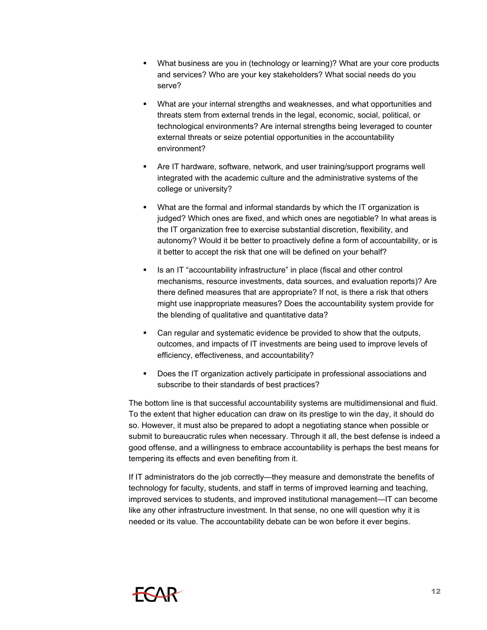- What business are you in (technology or learning)? What are your core products and services? Who are your key stakeholders? What social needs do you serve?
- What are your internal strengths and weaknesses, and what opportunities and threats stem from external trends in the legal, economic, social, political, or technological environments? Are internal strengths being leveraged to counter external threats or seize potential opportunities in the accountability environment?
- Are IT hardware, software, network, and user training/support programs well integrated with the academic culture and the administrative systems of the college or university?
- What are the formal and informal standards by which the IT organization is judged? Which ones are fixed, and which ones are negotiable? In what areas is the IT organization free to exercise substantial discretion, flexibility, and autonomy? Would it be better to proactively define a form of accountability, or is it better to accept the risk that one will be defined on your behalf?
- Is an IT "accountability infrastructure" in place (fiscal and other control mechanisms, resource investments, data sources, and evaluation reports)? Are there defined measures that are appropriate? If not, is there a risk that others might use inappropriate measures? Does the accountability system provide for the blending of qualitative and quantitative data?
- Can regular and systematic evidence be provided to show that the outputs, outcomes, and impacts of IT investments are being used to improve levels of efficiency, effectiveness, and accountability?
- Does the IT organization actively participate in professional associations and subscribe to their standards of best practices?

The bottom line is that successful accountability systems are multidimensional and fluid. To the extent that higher education can draw on its prestige to win the day, it should do so. However, it must also be prepared to adopt a negotiating stance when possible or submit to bureaucratic rules when necessary. Through it all, the best defense is indeed a good offense, and a willingness to embrace accountability is perhaps the best means for tempering its effects and even benefiting from it.

If IT administrators do the job correctly—they measure and demonstrate the benefits of technology for faculty, students, and staff in terms of improved learning and teaching, improved services to students, and improved institutional management—IT can become like any other infrastructure investment. In that sense, no one will question why it is needed or its value. The accountability debate can be won before it ever begins.

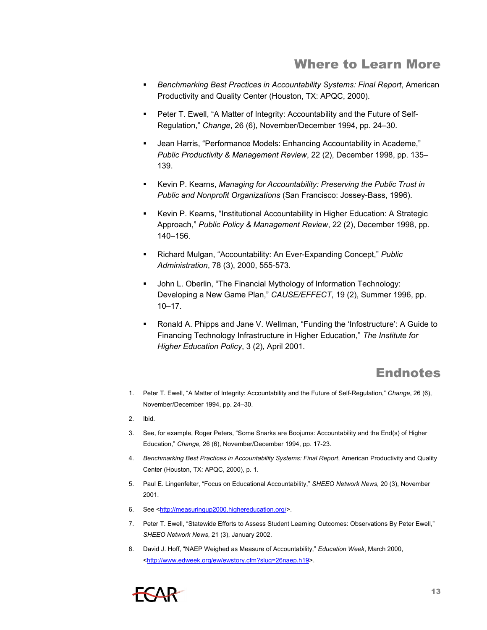### Where to Learn More

- *Benchmarking Best Practices in Accountability Systems: Final Report*, American Productivity and Quality Center (Houston, TX: APQC, 2000).
- **Peter T. Ewell, "A Matter of Integrity: Accountability and the Future of Self-**Regulation," *Change*, 26 (6), November/December 1994, pp. 24–30.
- Jean Harris, "Performance Models: Enhancing Accountability in Academe," *Public Productivity & Management Review*, 22 (2), December 1998, pp. 135– 139.
- Kevin P. Kearns, *Managing for Accountability: Preserving the Public Trust in Public and Nonprofit Organizations* (San Francisco: Jossey-Bass, 1996).
- Kevin P. Kearns, "Institutional Accountability in Higher Education: A Strategic Approach," *Public Policy & Management Review*, 22 (2), December 1998, pp. 140–156.
- Richard Mulgan, "Accountability: An Ever-Expanding Concept," *Public Administration*, 78 (3), 2000, 555-573.
- **John L. Oberlin, "The Financial Mythology of Information Technology:** Developing a New Game Plan," *CAUSE/EFFECT*, 19 (2), Summer 1996, pp. 10–17.
- Ronald A. Phipps and Jane V. Wellman, "Funding the 'Infostructure': A Guide to Financing Technology Infrastructure in Higher Education," *The Institute for Higher Education Policy*, 3 (2), April 2001.

# Endnotes

- 1. Peter T. Ewell, "A Matter of Integrity: Accountability and the Future of Self-Regulation," *Change*, 26 (6), November/December 1994, pp. 24–30.
- 2. Ibid.
- 3. See, for example, Roger Peters, "Some Snarks are Boojums: Accountability and the End(s) of Higher Education," *Change,* 26 (6), November/December 1994, pp. 17-23.
- 4. *Benchmarking Best Practices in Accountability Systems: Final Report*, American Productivity and Quality Center (Houston, TX: APQC, 2000), p. 1.
- 5. Paul E. Lingenfelter, "Focus on Educational Accountability," *SHEEO Network News*, 20 (3), November 2001.
- 6. See [<http://measuringup2000.highereducation.org/>](http://measuringup2000.highereducation.org/).
- 7. Peter T. Ewell, "Statewide Efforts to Assess Student Learning Outcomes: Observations By Peter Ewell," *SHEEO Network News*, 21 (3), January 2002.
- 8. David J. Hoff, "NAEP Weighed as Measure of Accountability," *Education Week*, March 2000, [<http://www.edweek.org/ew/ewstory.cfm?slug=26naep.h19>](http://www.edweek.org/ew/ewstory.cfm?slug=26naep.h19).